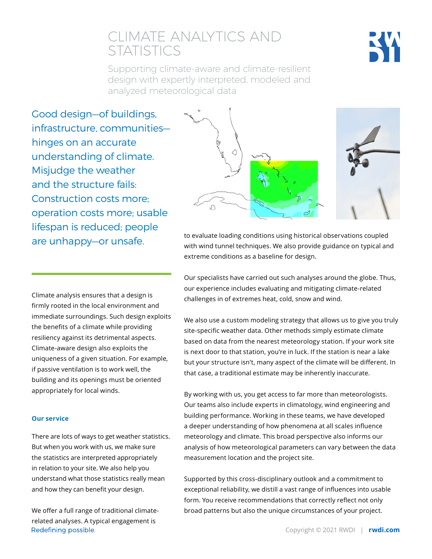# CLIMATE ANALYTICS AND **STATISTICS**



Supporting climate-aware and climate-resilient design with expertly interpreted, modeled and analyzed meteorological data

Good design—of buildings, infrastructure, communities hinges on an accurate understanding of climate. Misjudge the weather and the structure fails: Construction costs more; operation costs more; usable lifespan is reduced; people are unhappy—or unsafe.

Climate analysis ensures that a design is firmly rooted in the local environment and immediate surroundings. Such design exploits the benefits of a climate while providing resiliency against its detrimental aspects. Climate-aware design also exploits the uniqueness of a given situation. For example, if passive ventilation is to work well, the building and its openings must be oriented appropriately for local winds.

### **Our service**

There are lots of ways to get weather statistics. But when you work with us, we make sure the statistics are interpreted appropriately in relation to your site. We also help you understand what those statistics really mean and how they can benefit your design.

We offer a full range of traditional climaterelated analyses. A typical engagement is Redefining possible.



to evaluate loading conditions using historical observations coupled with wind tunnel techniques. We also provide guidance on typical and extreme conditions as a baseline for design.

Our specialists have carried out such analyses around the globe. Thus, our experience includes evaluating and mitigating climate-related challenges in of extremes heat, cold, snow and wind.

We also use a custom modeling strategy that allows us to give you truly site-specific weather data. Other methods simply estimate climate based on data from the nearest meteorology station. If your work site is next door to that station, you're in luck. If the station is near a lake but your structure isn't, many aspect of the climate will be different. In that case, a traditional estimate may be inherently inaccurate.

By working with us, you get access to far more than meteorologists. Our teams also include experts in climatology, wind engineering and building performance. Working in these teams, we have developed a deeper understanding of how phenomena at all scales influence meteorology and climate. This broad perspective also informs our analysis of how meteorological parameters can vary between the data measurement location and the project site.

Supported by this cross-disciplinary outlook and a commitment to exceptional reliability, we distill a vast range of influences into usable form. You receive recommendations that correctly reflect not only broad patterns but also the unique circumstances of your project.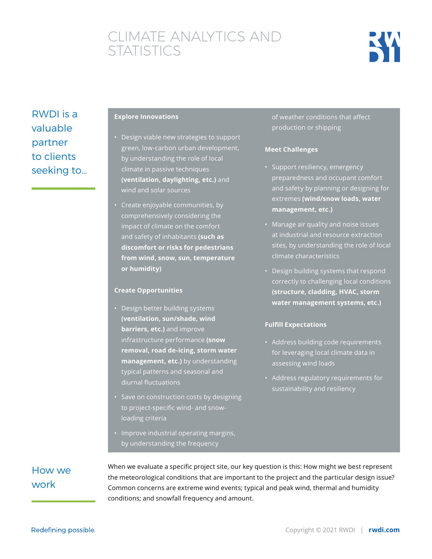# CLIMATE ANALYTICS AND **STATISTICS**



RWDI is a valuable partner to clients seeking to…

## **Explore Innovations**

- Design viable new strategies to support green, low-carbon urban development, by understanding the role of local climate in passive techniques **(ventilation, daylighting, etc.)** and wind and solar sources
- Create enjoyable communities, by comprehensively considering the impact of climate on the comfort and safety of inhabitants **(such as discomfort or risks for pedestrians from wind, snow, sun, temperature or humidity)**

#### **Create Opportunities**

- Design better building systems **(ventilation, sun/shade, wind barriers, etc.)** and improve infrastructure performance **(snow removal, road de-icing, storm water management, etc.)** by understanding typical patterns and seasonal and diurnal fluctuations
- Save on construction costs by designing to project-specific wind- and snowloading criteria
- Improve industrial operating margins, by understanding the frequency

of weather conditions that affect production or shipping

### **Meet Challenges**

- Support resiliency, emergency preparedness and occupant comfort and safety by planning or designing for extremes **(wind/snow loads, water management, etc.)**
- Manage air quality and noise issues at industrial and resource extraction sites, by understanding the role of local climate characteristics
- Design building systems that respond correctly to challenging local conditions **(structure, cladding, HVAC, storm water management systems, etc.)**

### **Fulfill Expectations**

- Address building code requirements for leveraging local climate data in assessing wind loads
- Address regulatory requirements for sustainability and resiliency

## How we work

When we evaluate a specific project site, our key question is this: How might we best represent the meteorological conditions that are important to the project and the particular design issue? Common concerns are extreme wind events; typical and peak wind, thermal and humidity conditions; and snowfall frequency and amount.